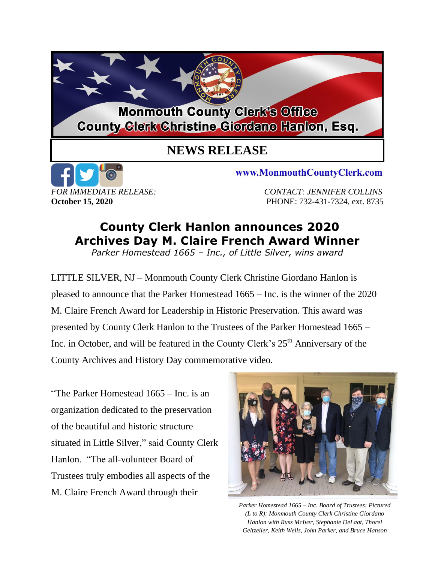## **Monmouth County Clerk's Office County Clerk Christine Giordano Hanlon, Esq.**

## **NEWS RELEASE**



www.MonmouthCountyClerk.com

*FOR IMMEDIATE RELEASE: CONTACT: JENNIFER COLLINS* **October 15, 2020 PHONE: 732-431-7324, ext. 8735** 

## **County Clerk Hanlon announces 2020 Archives Day M. Claire French Award Winner**

*Parker Homestead 1665 – Inc., of Little Silver, wins award*

LITTLE SILVER, NJ – Monmouth County Clerk Christine Giordano Hanlon is pleased to announce that the Parker Homestead 1665 – Inc. is the winner of the 2020 M. Claire French Award for Leadership in Historic Preservation. This award was presented by County Clerk Hanlon to the Trustees of the Parker Homestead 1665 – Inc. in October, and will be featured in the County Clerk's 25<sup>th</sup> Anniversary of the County Archives and History Day commemorative video.

"The Parker Homestead 1665 – Inc. is an organization dedicated to the preservation of the beautiful and historic structure situated in Little Silver," said County Clerk Hanlon. "The all-volunteer Board of Trustees truly embodies all aspects of the M. Claire French Award through their



*Parker Homestead 1665 – Inc. Board of Trustees: Pictured (L to R): Monmouth County Clerk Christine Giordano Hanlon with Russ McIver, Stephanie DeLaat, Thorel Geltzeiler, Keith Wells, John Parker, and Bruce Hanson*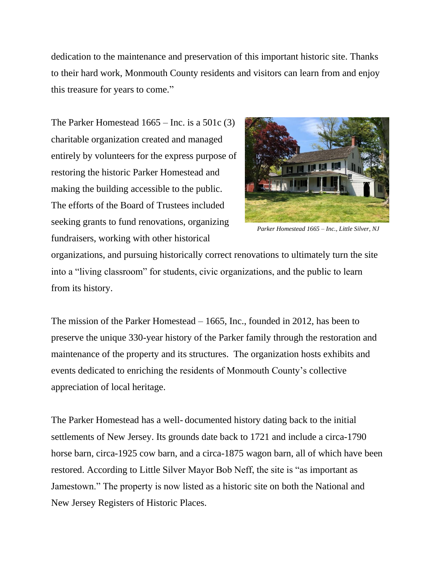dedication to the maintenance and preservation of this important historic site. Thanks to their hard work, Monmouth County residents and visitors can learn from and enjoy this treasure for years to come."

The Parker Homestead 1665 – Inc. is a 501c (3) charitable organization created and managed entirely by volunteers for the express purpose of restoring the historic Parker Homestead and making the building accessible to the public. The efforts of the Board of Trustees included seeking grants to fund renovations, organizing fundraisers, working with other historical



*Parker Homestead 1665 – Inc., Little Silver, NJ*

organizations, and pursuing historically correct renovations to ultimately turn the site into a "living classroom" for students, civic organizations, and the public to learn from its history.

The mission of the Parker Homestead – 1665, Inc., founded in 2012, has been to preserve the unique 330-year history of the Parker family through the restoration and maintenance of the property and its structures. The organization hosts exhibits and events dedicated to enriching the residents of Monmouth County's collective appreciation of local heritage.

The Parker Homestead has a well- documented history dating back to the initial settlements of New Jersey. Its grounds date back to 1721 and include a circa-1790 horse barn, circa-1925 cow barn, and a circa-1875 wagon barn, all of which have been restored. According to Little Silver Mayor Bob Neff, the site is "as important as Jamestown." The property is now listed as a historic site on both the National and New Jersey Registers of Historic Places.